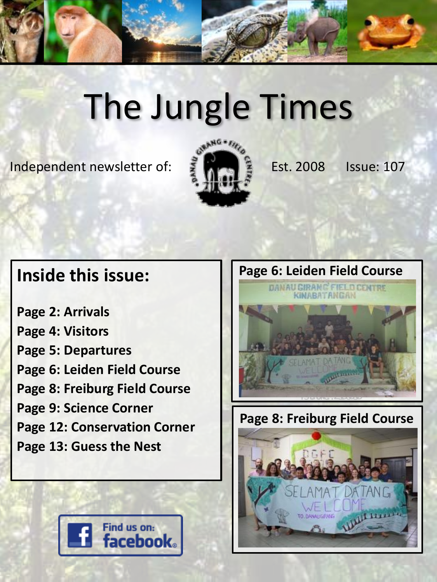

# The Jungle Times

Independent newsletter of:  $\frac{3}{2}$   $\frac{1}{2}$  Est. 2008 Issue: 107



### **Inside this issue:**

**Page 2: Arrivals Page 4: Visitors Page 5: Departures Page 6: Leiden Field Course Page 8: Freiburg Field Course Page 9: Science Corner Page 12: Conservation Corner Page 13: Guess the Nest**





**Page 8: Freiburg Field Course**

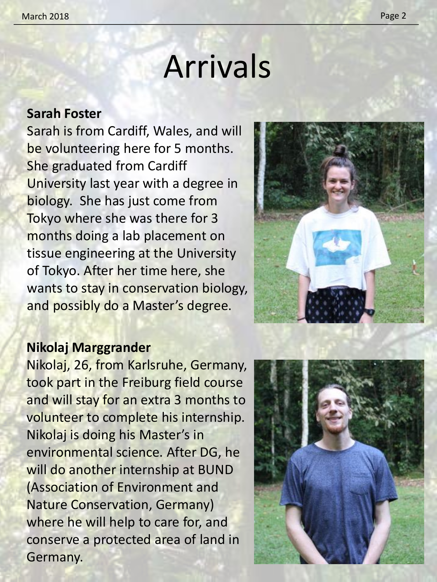### Arrivals

#### **Sarah Foster**

Sarah is from Cardiff, Wales, and will be volunteering here for 5 months. She graduated from Cardiff University last year with a degree in biology. She has just come from Tokyo where she was there for 3 months doing a lab placement on tissue engineering at the University of Tokyo. After her time here, she wants to stay in conservation biology, and possibly do a Master's degree.



#### **Nikolaj Marggrander**

Nikolaj, 26, from Karlsruhe, Germany, took part in the Freiburg field course and will stay for an extra 3 months to volunteer to complete his internship. Nikolaj is doing his Master's in environmental science. After DG, he will do another internship at BUND (Association of Environment and Nature Conservation, Germany) where he will help to care for, and conserve a protected area of land in Germany.

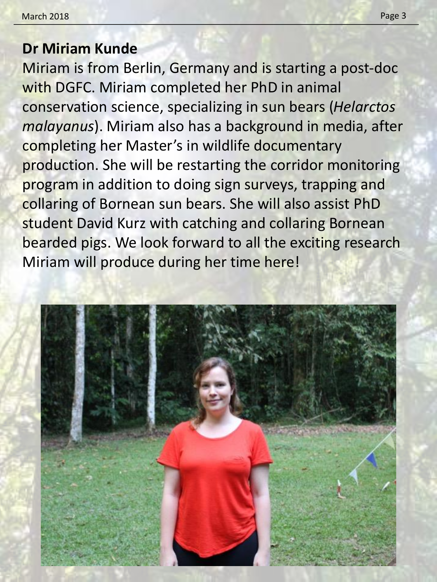### **Dr Miriam Kunde**

Miriam is from Berlin, Germany and is starting a post-doc with DGFC. Miriam completed her PhD in animal conservation science, specializing in sun bears (*Helarctos malayanus*). Miriam also has a background in media, after completing her Master's in wildlife documentary production. She will be restarting the corridor monitoring program in addition to doing sign surveys, trapping and collaring of Bornean sun bears. She will also assist PhD student David Kurz with catching and collaring Bornean bearded pigs. We look forward to all the exciting research Miriam will produce during her time here!

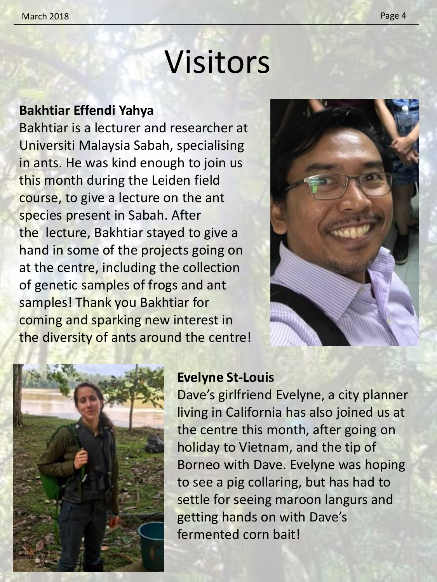## Visitors

#### **Bakhtiar Effendi Yahya**

Bakhtiar is a lecturer and researcher at Universiti Malaysia Sabah, specialising in ants. He was kind enough to join us this month during the Leiden field course, to give a lecture on the ant species present in Sabah. After the lecture, Bakhtiar stayed to give a hand in some of the projects going on at the centre, including the collection of genetic samples of frogs and ant samples! Thank you Bakhtiar for coming and sparking new interest in the diversity of ants around the centre!





#### **Evelyne St-Louis**

Dave's girlfriend Evelyne, a city planner living in California has also joined us at the centre this month, after going on holiday to Vietnam, and the tip of Borneo with Dave. Evelyne was hoping to see a pig collaring, but has had to settle for seeing maroon langurs and getting hands on with Dave's fermented corn bait!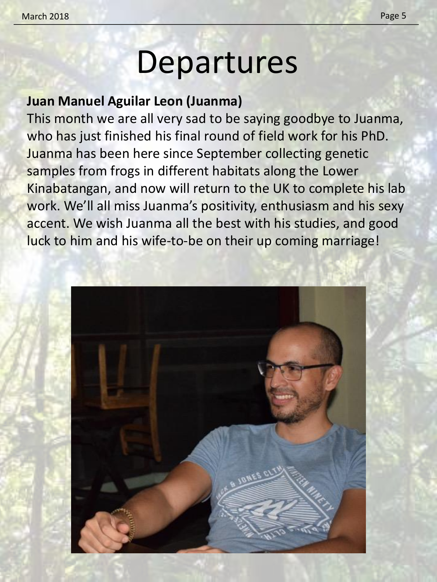### Departures

### **Juan Manuel Aguilar Leon (Juanma)**

This month we are all very sad to be saying goodbye to Juanma, who has just finished his final round of field work for his PhD. Juanma has been here since September collecting genetic samples from frogs in different habitats along the Lower Kinabatangan, and now will return to the UK to complete his lab work. We'll all miss Juanma's positivity, enthusiasm and his sexy accent. We wish Juanma all the best with his studies, and good luck to him and his wife-to-be on their up coming marriage!

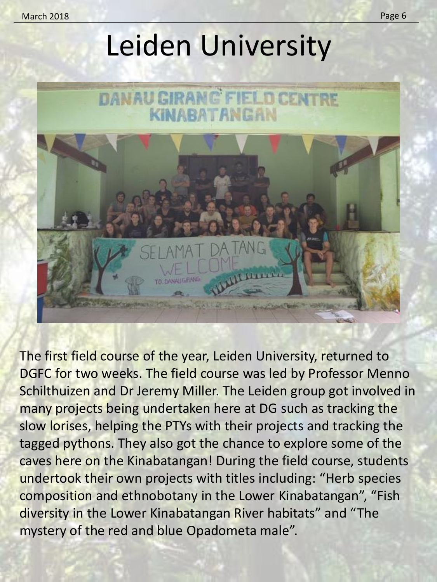### Leiden University



The first field course of the year, Leiden University, returned to DGFC for two weeks. The field course was led by Professor Menno Schilthuizen and Dr Jeremy Miller. The Leiden group got involved in many projects being undertaken here at DG such as tracking the slow lorises, helping the PTYs with their projects and tracking the tagged pythons. They also got the chance to explore some of the caves here on the Kinabatangan! During the field course, students undertook their own projects with titles including: "Herb species composition and ethnobotany in the Lower Kinabatangan", "Fish diversity in the Lower Kinabatangan River habitats" and "The mystery of the red and blue Opadometa male".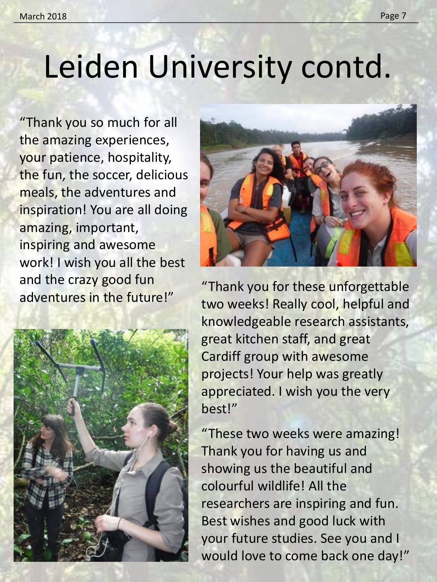### Leiden University contd.

"Thank you so much for all the amazing experiences, your patience, hospitality, the fun, the soccer, delicious meals, the adventures and inspiration! You are all doing amazing, important, inspiring and awesome work! I wish you all the best and the crazy good fun adventures in the future!"





"Thank you for these unforgettable two weeks! Really cool, helpful and knowledgeable research assistants, great kitchen staff, and great Cardiff group with awesome projects! Your help was greatly appreciated. I wish you the very best!"

"These two weeks were amazing! Thank you for having us and showing us the beautiful and colourful wildlife! All the researchers are inspiring and fun. Best wishes and good luck with your future studies. See you and I would love to come back one day!"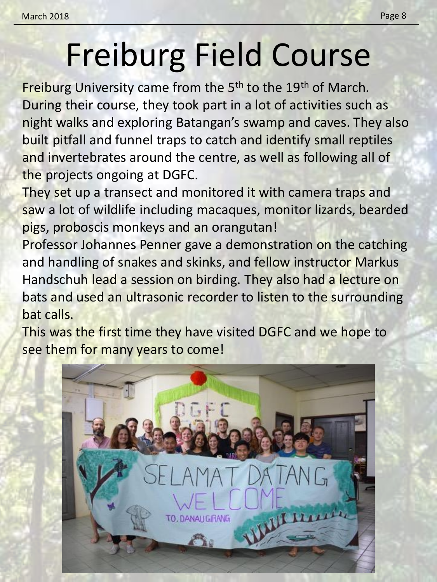# Freiburg Field Course

Freiburg University came from the 5<sup>th</sup> to the 19<sup>th</sup> of March. During their course, they took part in a lot of activities such as night walks and exploring Batangan's swamp and caves. They also built pitfall and funnel traps to catch and identify small reptiles and invertebrates around the centre, as well as following all of the projects ongoing at DGFC.

They set up a transect and monitored it with camera traps and saw a lot of wildlife including macaques, monitor lizards, bearded pigs, proboscis monkeys and an orangutan!

Professor Johannes Penner gave a demonstration on the catching and handling of snakes and skinks, and fellow instructor Markus Handschuh lead a session on birding. They also had a lecture on bats and used an ultrasonic recorder to listen to the surrounding bat calls.

This was the first time they have visited DGFC and we hope to see them for many years to come!

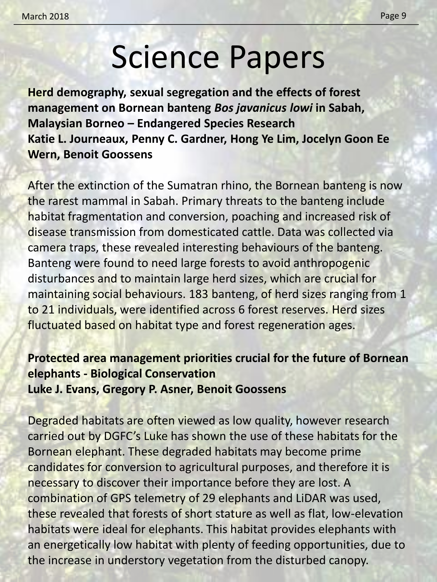### Science Papers

**Herd demography, sexual segregation and the effects of forest management on Bornean banteng** *Bos javanicus lowi* **in Sabah, Malaysian Borneo – Endangered Species Research Katie L. Journeaux, Penny C. Gardner, Hong Ye Lim, Jocelyn Goon Ee Wern, Benoit Goossens**

After the extinction of the Sumatran rhino, the Bornean banteng is now the rarest mammal in Sabah. Primary threats to the banteng include habitat fragmentation and conversion, poaching and increased risk of disease transmission from domesticated cattle. Data was collected via camera traps, these revealed interesting behaviours of the banteng. Banteng were found to need large forests to avoid anthropogenic disturbances and to maintain large herd sizes, which are crucial for maintaining social behaviours. 183 banteng, of herd sizes ranging from 1 to 21 individuals, were identified across 6 forest reserves. Herd sizes fluctuated based on habitat type and forest regeneration ages.

#### **Protected area management priorities crucial for the future of Bornean elephants - Biological Conservation Luke J. Evans, Gregory P. Asner, Benoit Goossens**

Degraded habitats are often viewed as low quality, however research carried out by DGFC's Luke has shown the use of these habitats for the Bornean elephant. These degraded habitats may become prime candidates for conversion to agricultural purposes, and therefore it is necessary to discover their importance before they are lost. A combination of GPS telemetry of 29 elephants and LiDAR was used, these revealed that forests of short stature as well as flat, low-elevation habitats were ideal for elephants. This habitat provides elephants with an energetically low habitat with plenty of feeding opportunities, due to the increase in understory vegetation from the disturbed canopy.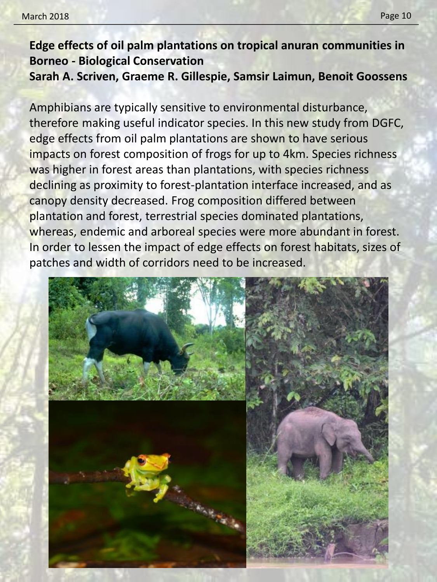#### **Edge effects of oil palm plantations on tropical anuran communities in Borneo - Biological Conservation Sarah A. Scriven, Graeme R. Gillespie, Samsir Laimun, Benoit Goossens**

Amphibians are typically sensitive to environmental disturbance, therefore making useful indicator species. In this new study from DGFC, edge effects from oil palm plantations are shown to have serious impacts on forest composition of frogs for up to 4km. Species richness was higher in forest areas than plantations, with species richness declining as proximity to forest-plantation interface increased, and as canopy density decreased. Frog composition differed between plantation and forest, terrestrial species dominated plantations, whereas, endemic and arboreal species were more abundant in forest. In order to lessen the impact of edge effects on forest habitats, sizes of patches and width of corridors need to be increased.

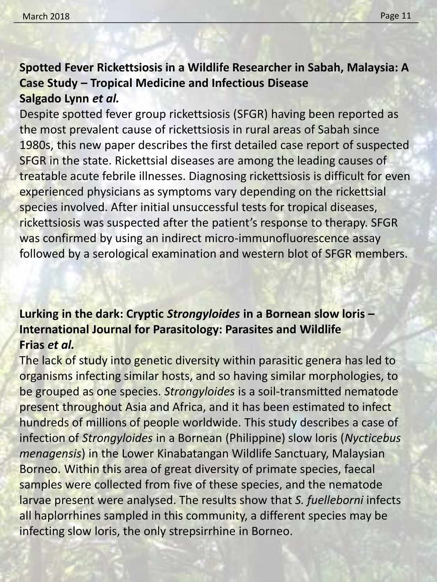### **Spotted Fever Rickettsiosis in a Wildlife Researcher in Sabah, Malaysia: A Case Study – Tropical Medicine and Infectious Disease Salgado Lynn** *et al.*

Despite spotted fever group rickettsiosis (SFGR) having been reported as the most prevalent cause of rickettsiosis in rural areas of Sabah since 1980s, this new paper describes the first detailed case report of suspected SFGR in the state. Rickettsial diseases are among the leading causes of treatable acute febrile illnesses. Diagnosing rickettsiosis is difficult for even experienced physicians as symptoms vary depending on the rickettsial species involved. After initial unsuccessful tests for tropical diseases, rickettsiosis was suspected after the patient's response to therapy. SFGR was confirmed by using an indirect micro-immunofluorescence assay followed by a serological examination and western blot of SFGR members.

### **Lurking in the dark: Cryptic** *Strongyloides* **in a Bornean slow loris – International Journal for Parasitology: Parasites and Wildlife Frias** *et al.*

The lack of study into genetic diversity within parasitic genera has led to organisms infecting similar hosts, and so having similar morphologies, to be grouped as one species. *Strongyloides* is a soil-transmitted nematode present throughout Asia and Africa, and it has been estimated to infect hundreds of millions of people worldwide. This study describes a case of infection of *Strongyloides* in a Bornean (Philippine) slow loris (*Nycticebus menagensis*) in the Lower Kinabatangan Wildlife Sanctuary, Malaysian Borneo. Within this area of great diversity of primate species, faecal samples were collected from five of these species, and the nematode larvae present were analysed. The results show that *S. fuelleborni* infects all haplorrhines sampled in this community, a different species may be infecting slow loris, the only strepsirrhine in Borneo.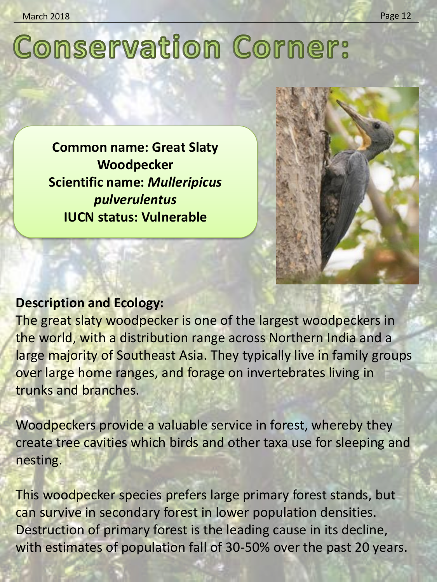### **Conservation Corner:**

**Common name: Great Slaty Woodpecker Scientific name:** *Mulleripicus pulverulentus* **IUCN status: Vulnerable**



The great slaty woodpecker is one of the largest woodpeckers in the world, with a distribution range across Northern India and a large majority of Southeast Asia. They typically live in family groups over large home ranges, and forage on invertebrates living in trunks and branches.

Woodpeckers provide a valuable service in forest, whereby they create tree cavities which birds and other taxa use for sleeping and nesting.

This woodpecker species prefers large primary forest stands, but can survive in secondary forest in lower population densities. Destruction of primary forest is the leading cause in its decline, with estimates of population fall of 30-50% over the past 20 years.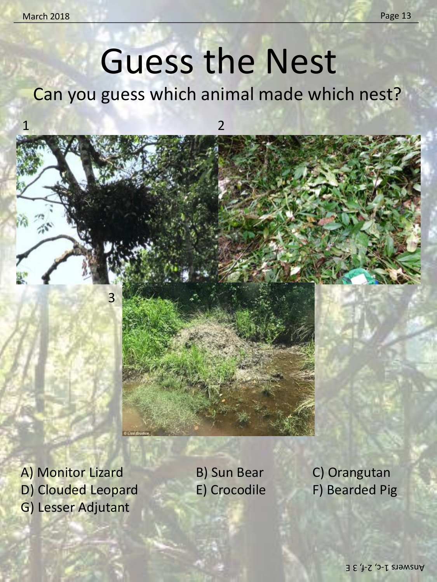### Guess the Nest

Can you guess which animal made which nest?



A) Monitor Lizard B) Sun Bear B) Orangutan D) Clouded Leopard E) Crocodile F) Bearded Pig G) Lesser Adjutant